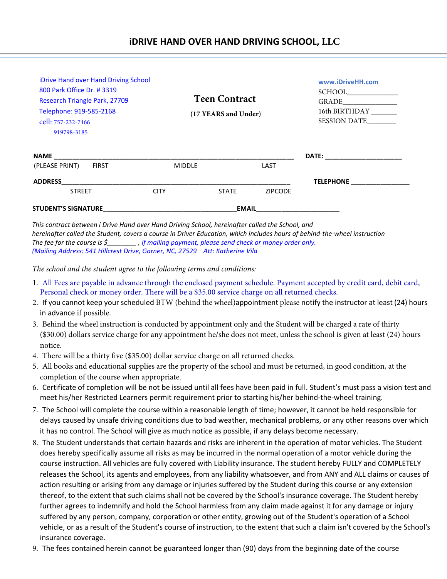| <b>STUDENT'S SIGNATURE</b>           |               |                      |                |                  |
|--------------------------------------|---------------|----------------------|----------------|------------------|
| <b>STREET</b>                        | <b>CITY</b>   | <b>STATE</b>         | <b>ZIPCODE</b> |                  |
| <b>ADDRESS</b>                       |               |                      |                | <b>TELEPHONE</b> |
| (PLEASE PRINT)<br><b>FIRST</b>       | <b>MIDDLE</b> |                      | LAST           |                  |
| <b>NAME NAME</b>                     |               |                      |                |                  |
| 919798-3185                          |               |                      |                |                  |
| cell: 757-232-7466                   |               |                      |                | SESSION DATE     |
| Telephone: 919-585-2168              |               | (17 YEARS and Under) |                | 16th BIRTHDAY    |
| Research Triangle Park, 27709        |               | <b>Teen Contract</b> |                |                  |
| 800 Park Office Dr. #3319            |               |                      |                |                  |
| iDrive Hand over Hand Driving School |               |                      |                | www.iDriveHH.com |

*This contract between i Drive Hand over Hand Driving School, hereinafter called the School, and hereinafter called the Student, covers a course in Driver Education, which includes hours of behind-the-wheel instruction The fee for the course is*  $\sharp$  *if mailing payment, please send check or money order only. (Mailing Address: 541 Hillcrest Drive, Garner, NC, 27529 Att: Katherine Vila*

*The school and the student agree to the following terms and conditions:*

- 1. All Fees are payable in advance through the enclosed payment schedule. Payment accepted by credit card, debit card, Personal check or money order. There will be a \$35.00 service charge on all returned checks.
- 2. If you cannot keep your scheduled BTW (behind the wheel)appointment please notify the instructor at least (24) hours in advance if possible.
- 3. Behind the wheel instruction is conducted by appointment only and the Student will be charged a rate of thirty (\$30.00) dollars service charge for any appointment he/she does not meet, unless the school is given at least (24) hours notice.
- 4. There will be a thirty five (\$35.00) dollar service charge on all returned checks.
- 5. All books and educational supplies are the property of the school and must be returned, in good condition, at the completion of the course when appropriate.
- 6. Certificate of completion will be not be issued until all fees have been paid in full. Student's must pass a vision test and meet his/her Restricted Learners permit requirement prior to starting his/her behind-the-wheel training.
- 7. The School will complete the course within a reasonable length of time; however, it cannot be held responsible for delays caused by unsafe driving conditions due to bad weather, mechanical problems, or any other reasons over which it has no control. The School will give as much notice as possible, if any delays become necessary.
- 8. The Student understands that certain hazards and risks are inherent in the operation of motor vehicles. The Student does hereby specifically assume all risks as may be incurred in the normal operation of a motor vehicle during the course instruction. All vehicles are fully covered with Liability insurance. The student hereby FULLY and COMPLETELY releases the School, its agents and employees, from any liability whatsoever, and from ANY and ALL claims or causes of action resulting or arising from any damage or injuries suffered by the Student during this course or any extension thereof, to the extent that such claims shall not be covered by the School's insurance coverage. The Student hereby further agrees to indemnify and hold the School harmless from any claim made against it for any damage or injury suffered by any person, company, corporation or other entity, growing out of the Student's operation of a School vehicle, or as a result of the Student's course of instruction, to the extent that such a claim isn't covered by the School's insurance coverage.
- 9. The fees contained herein cannot be guaranteed longer than (90) days from the beginning date of the course